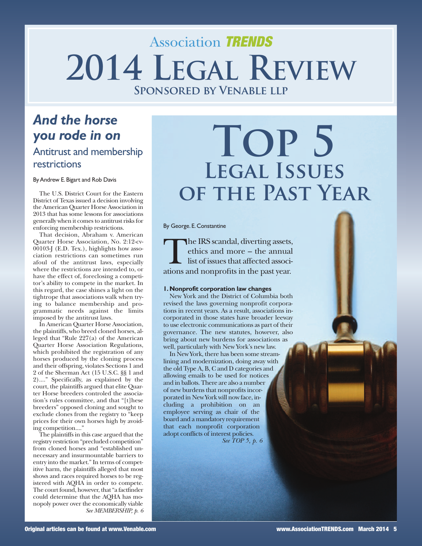## Association TRENDS **2014 LEGAL REVIEW Sponsored by Venable llp**

### *And the horse you rode in on* Antitrust and membership restrictions

ByAndrew E.Bigart and Rob Davis

The U.S. District Court for the Eastern District of Texas issued a decision involving the American Quarter Horse Association in 2013 that has some lessons for associations generally when it comes to antitrust risks for enforcing membership restrictions.

That decision, Abraham v. American Quarter Horse Association, No. 2:12-cv-00103-J (E.D. Tex.), highlights how association restrictions can sometimes run afoul of the antitrust laws, especially where the restrictions are intended to, or have the effect of, foreclosing a competitor's ability to compete in the market. In this regard, the case shines a light on the tightrope that associations walk when trying to balance membership and programmatic needs against the limits imposed by the antitrust laws.

In American Quarter Horse Association, the plaintiffs, who breed cloned horses, alleged that "Rule 227(a) of the American Quarter Horse Association Regulations, which prohibited the registration of any horses produced by the cloning process and their offspring, violates Sections 1 and 2 of the Sherman Act (15 U.S.C. §§ 1 and 2)...." Specifically, as explained by the court, the plaintiffs argued that elite Quarter Horse breeders controled the association's rules committee, and that "[t]hese breeders" opposed cloning and sought to exclude clones from the registry to "keep prices for their own horses high by avoiding competition...."

The plaintiffs in this case argued that the registry restriction "precluded competition" from cloned horses and "established unnecessary and insurmountable barriers to entry into the market." In terms of competitive harm, the plaintiffs alleged that most shows and races required horses to be registered with AQHA in order to compete. The court found, however, that "a factfinder could determine that the AQHA has monopoly power over the economically viable *See MEMBERSHIP, p. 6*

# **Top 5 Legal Issues of the Past Year**

By George. E.Constantine

The IRS scandal, diverting assets, ethics and more – the annual list of issues that affected associations and nonprofits in the past year.

#### **1.Nonprofit corporation law changes**

New York and the District of Columbia both revised the laws governing nonprofit corporations in recent years. As a result, associations incorporated in those states have broader leeway to use electronic communications as part of their governance. The new statutes, however, also bring about new burdens for associations as well, particularly with New York's new law.

In New York, there has been some streamlining and modernization, doing away with the old Type A, B, C and D categories and allowing emails to be used for notices and in ballots.There are also a number of new burdens that nonprofits incorporated in NewYorkwill nowface, including a prohibition on an employee serving as chair of the board and a mandatory requirement that each nonprofit corporation adopt conflicts of interest policies. *See TOP 5, p. 6*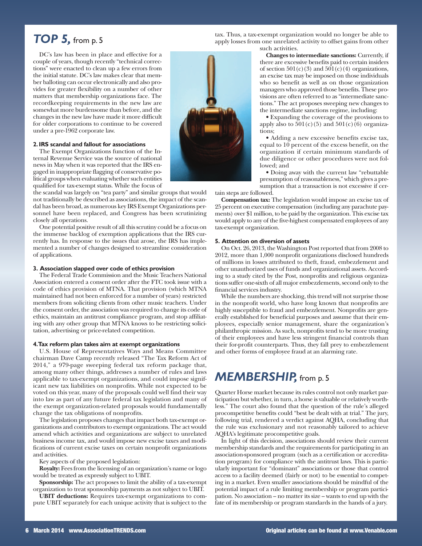### *TOP 5,* from p. <sup>5</sup>

DC's law has been in place and effective for a couple of years, though recently "technical corrections" were enacted to clean up a few errors from the initial statute. DC's law makes clear that member balloting can occur electronically and also provides for greater flexibility on a number of other matters that membership organizations face. The recordkeeping requirements in the new law are somewhat more burdensome than before, and the changes in the new law have made it more difficult for older corporations to continue to be covered under a pre-1962 corporate law.

#### **2.IRS scandal and fallout for associations**

The Exempt Organizations function of the Internal Revenue Service was the source of national news in May when it was reported that the IRS engaged in inappropriate flagging of conservative political groups when evaluating whether such entities qualified for tax-exempt status. While the focus of

the scandal was largely on "tea party" and similar groups that would not traditionally be described as associations, the impact of the scandal has been broad, as numerous key IRS Exempt Organizations personnel have been replaced, and Congress has been scrutinizing closely all operations.

One potential positive result of all thisscrutiny could be a focus on the immense backlog of exemption applications that the IRS currently has. In response to the issues that arose, the IRS has implemented a number of changes designed to streamline consideration of applications.

#### **3. Association slapped over code of ethics provision**

The Federal Trade Commission and the Music Teachers National Association entered a consent order after the FTC took issue with a code of ethics provision of MTNA. That provision (which MTNA maintained had not been enforced for a number of years) restricted members from soliciting clients from other music teachers. Under the consent order, the association was required to change its code of ethics, maintain an antitrust compliance program, and stop affiliating with any other group that MTNA knows to be restricting solicitation, advertising or price-related competition.

#### **4.Tax reform plan takes aim at exempt organizations**

U.S. House of Representatives Ways and Means Committee chairman Dave Camp recently released "The Tax Reform Act of 2014," a 979-page sweeping federal tax reform package that, among many other things, addresses a number of rules and laws applicable to tax-exempt organizations, and could impose significant new tax liabilities on nonprofits. While not expected to be voted on this year, many of the proposals could well find their way into law as part of any future federal tax legislation and many of the exempt organization-related proposals would fundamentally change the tax obligations of nonprofits.

The legislation proposes changes that impact both tax-exempt organizations and contributors to exempt organizations. The act would amend which activities and organizations are subject to unrelated business income tax, and would impose new excise taxes and modifications of current excise taxes on certain nonprofit organizations and activities.

Key aspects of the proposed legislation:

**Royalty:** Feesfrom the licensing of an organization's name or logo would be treated as expressly subject to UBIT.

**Sponsorship:** The act proposes to limit the ability of a tax-exempt organization to treat sponsorship payments as not subject to UBIT.

**UBIT deductions:** Requires tax-exempt organizations to compute UBIT separately for each unique activity that is subject to the

tax. Thus, a tax-exempt organization would no longer be able to apply losses from one unrelated activity to offset gains from other such activities.

> **Changes to intermediate sanctions:** Currently, if there are excessive benefits paid to certain insiders of section  $501(c)(3)$  and  $501(c)(4)$  organizations, an excise tax may be imposed on those individuals who so benefit as well as on those organization managers who approved those benefits. These provisions are often referred to as "intermediate sanctions." The act proposes sweeping new changes to the intermediate sanctions regime, including:

> • Expanding the coverage of the provisions to apply also to  $501(c)(5)$  and  $501(c)(6)$  organizations;

> • Adding a new excessive benefits excise tax, equal to 10 percent of the excess benefit, on the organization if certain minimum standards of due diligence or other procedures were not followed; and

> • Doing away with the current law "rebuttable presumption of reasonableness," which gives a presumption that a transaction is not excessive if cer-

#### tain steps are followed.

**Compensation tax:** The legislation would impose an excise tax of 25 percent on executive compensation (including any parachute payments) over \$1 million, to be paid by the organization. This excise tax would apply to any of the five-highest compensated employees of any tax-exempt organization.

#### **5. Attention on diversion of assets**

On Oct. 26, 2013, the Washington Post reported that from 2008 to 2012, more than 1,000 nonprofit organizations disclosed hundreds of millions in losses attributed to theft, fraud, embezzlement and other unauthorized uses of funds and organizational assets. According to a study cited by the Post, nonprofits and religious organizations suffer one-sixth of all major embezzlements, second only to the financial services industry.

While the numbers are shocking, this trend will not surprise those in the nonprofit world, who have long known that nonprofits are highly susceptible to fraud and embezzlement. Nonprofits are generally established for beneficial purposes and assume that their employees, especially senior management, share the organization's philanthropic mission. As such, nonprofits tend to be more trusting of their employees and have less stringent financial controls than their for-profit counterparts. Thus, they fall prey to embezzlement and other forms of employee fraud at an alarming rate.

### *MEMBERSHIP,* from p. <sup>5</sup>

Quarter Horse market because its rules control not only market participation but whether, in turn, a horse is valuable or relatively worthless." The court also found that the question of the rule's alleged procompetitive benefits could "best be dealt with at trial." The jury, following trial, rendered a verdict against AQHA, concluding that the rule was exclusionary and not reasonably tailored to achieve AQHA's legitimate procompetitive goals.

In light of this decision, associations should review their current membership standards and the requirements for participating in an association-sponsored program (such as a certification or accreditation program) for compliance with the antitrust laws. This is particularly important for "dominant" associations or those that control access to a facility deemed (fairly or not) to be essential to competing in a market. Even smaller associations should be mindful of the potential impact of a rule limiting membership or program participation. No association – no matter its size – wants to end up with the fate of its membership or program standards in the hands of a jury.

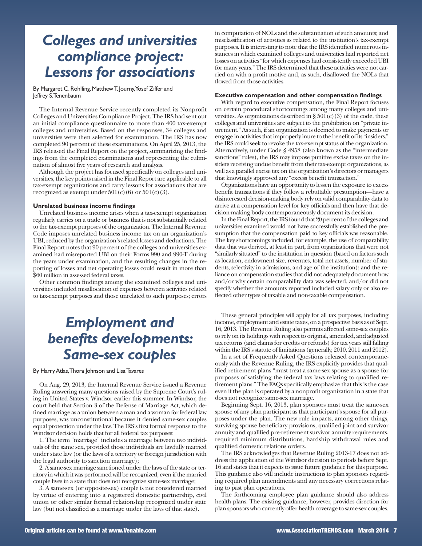### *Colleges and universities compliance project: Lessons for associations*

By Margaret C. Rohlfing, Matthew T. Journy, Yosef Ziffer and Jeffrey S.Tenenbaum

The Internal Revenue Service recently completed its Nonprofit Colleges and Universities Compliance Project. The IRS had sent out an initial compliance questionnaire to more than 400 tax-exempt colleges and universities. Based on the responses, 34 colleges and universities were then selected for examination. The IRS has now completed 90 percent of these examinations. On April 25, 2013, the IRS released the Final Report on the project, summarizing the findings from the completed examinations and representing the culmination of almost five years of research and analysis.

Although the project has focused specifically on colleges and universities, the key points raised in the Final Report are applicable to all tax-exempt organizations and carry lessons for associations that are recognized as exempt under  $501(c)(6)$  or  $501(c)(3)$ .

#### **Unrelated business income findings**

Unrelated business income arises when a tax-exempt organization regularly carries on a trade or business that is not substantially related to the tax-exempt purposes of the organization. The Internal Revenue Code imposes unrelated business income tax on an organization's UBI, reduced by the organization's related losses and deductions.The Final Report notes that 90 percent of the colleges and universities examined had misreported UBI on their Forms 990 and 990-T during the years under examination, and the resulting changes in the reporting of losses and net operating losses could result in more than \$60 million in assessed federal taxes.

Other common findings among the examined colleges and universities included misallocation of expenses between activities related to tax-exempt purposes and those unrelated to such purposes; errors

### *Employment and benefits developments: Same-sex couples*

By HarryAtlas,Thora Johnson and LisaTavares

On Aug. 29, 2013, the Internal Revenue Service issued a Revenue Ruling answering many questions raised by the Supreme Court's ruling in United States v. Windsor earlier this summer. In Windsor, the court held that Section 3 of the Defense of Marriage Act, which defined marriage as a union between a man and awoman for federal law purposes, was unconstitutional because it denied same-sex couples equal protection under the law. The IRS's first formal response to the Windsor decision holds that for all federal tax purposes:

1. The term "marriage" includes a marriage between two individuals of the same sex, provided those individuals are lawfully married under state law (or the laws of a territory or foreign jurisdiction with the legal authority to sanction marriage);

2. A same-sex marriage sanctioned under the laws of the state or territory in which it was performed will be recognized, even if the married couple lives in a state that does not recognize same-sex marriage;

3. A same-sex (or opposite-sex) couple is not considered married by virtue of entering into a registered domestic partnership, civil union or other similar formal relationship recognized under state law (but not classified as a marriage under the laws of that state).

in computation of NOLs and the substantiation of such amounts; and misclassification of activities as related to the institution's tax-exempt purposes. It is interesting to note that the IRS identified numerous instances in which examined colleges and universities had reported net losses on activities "for which expenses had consistently exceeded UBI for many years."The IRS determined that these activities were not carried on with a profit motive and, as such, disallowed the NOLs that flowed from those activities.

#### **Executive compensation and other compensation findings**

With regard to executive compensation, the Final Report focuses on certain procedural shortcomings among many colleges and universities. As organizations described in  $\S 501(c)(3)$  of the code, these colleges and universities are subject to the prohibition on "private inurement." Assuch, if an organization is deemed to make payments or engage in activities that improperly inure to the benefit of its "insiders," the IRS could seek to revoke the tax-exempt status of the organization. Alternatively, under Code § 4958 (also known as the "intermediate sanctions" rules), the IRS may impose punitive excise taxes on the insiders receiving undue benefit from their tax-exempt organizations, as well as a parallel excise tax on the organization's directors or managers that knowingly approved any "excess benefit transaction."

Organizations have an opportunity to lessen the exposure to excess benefit transactions if they follow a rebuttable presumption—have a disinterested decision-making body rely on valid comparability data to arrive at a compensation level for key officials and then have that decision-making body contemporaneously document its decision.

In the Final Report, the IRS found that 20 percent of the colleges and universities examined would not have successfully established the presumption that the compensation paid to key officials was reasonable. The key shortcomings included, for example, the use of comparability data that was derived, at least in part, from organizations that were not "similarly situated" to the institution in question (based on factors such as location, endowment size, revenues, total net assets, number of students, selectivity in admissions, and age of the institution); and the reliance on compensation studies that did not adequately document how and/or why certain comparability data was selected, and/or did not specify whether the amounts reported included salary only or also reflected other types of taxable and non-taxable compensation.

These general principles will apply for all tax purposes, including income, employment and estate taxes, on a prospective basis as of Sept. 16, 2013. The Revenue Ruling also permits affected same-sex couples to rely on its holdings with respect to original, amended, and adjusted tax returns (and claims for credits or refunds) for tax years still falling within the IRS's statute of limitations (generally, 2010, 2011 and 2012).

In a set of Frequently Asked Questions released contemporaneously with the Revenue Ruling, the IRS explicitly provides that qualified retirement plans "must treat a same-sex spouse as a spouse for purposes of satisfying the federal tax laws relating to qualified retirement plans." The FAQs specifically emphasize that this is the case even if the plan is operated by a nonprofit organization in a state that does not recognize same-sex marriage.

Beginning Sept. 16, 2013, plan sponsors must treat the same-sex spouse of any plan participant asthat participant'sspouse for all purposes under the plan. The new rule impacts, among other things, surviving spouse beneficiary provisions, qualified joint and survivor annuity and qualified pre-retirement survivor annuity requirements, required minimum distributions, hardship withdrawal rules and qualified domestic relations orders.

The IRS acknowledges that Revenue Ruling 2013-17 does not addressthe application of the Windsor decision to periods before Sept. 16 and states that it expects to issue future guidance for this purpose. This guidance also will include instructions to plan sponsors regarding required plan amendments and any necessary corrections relating to past plan operations.

The forthcoming employee plan guidance should also address health plans. The existing guidance, however, provides direction for plan sponsorswho currently offer health coverage to same-sex couples.